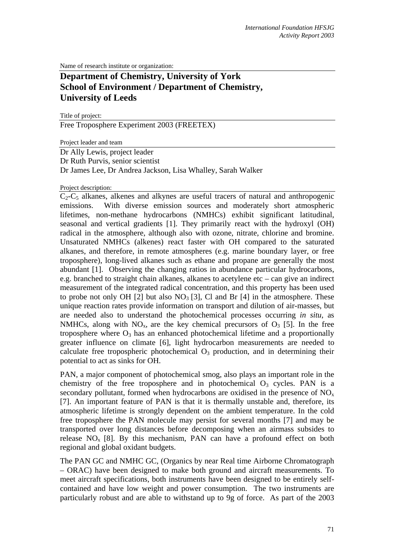Name of research institute or organization:

# **Department of Chemistry, University of York School of Environment / Department of Chemistry, University of Leeds**

Title of project: Free Troposphere Experiment 2003 (FREETEX)

Project leader and team

Dr Ally Lewis, project leader Dr Ruth Purvis, senior scientist Dr James Lee, Dr Andrea Jackson, Lisa Whalley, Sarah Walker

### Project description:

 $C_2-C_5$  alkanes, alkenes and alkynes are useful tracers of natural and anthropogenic emissions. With diverse emission sources and moderately short atmospheric lifetimes, non-methane hydrocarbons (NMHCs) exhibit significant latitudinal, seasonal and vertical gradients [1]. They primarily react with the hydroxyl (OH) radical in the atmosphere, although also with ozone, nitrate, chlorine and bromine. Unsaturated NMHCs (alkenes) react faster with OH compared to the saturated alkanes, and therefore, in remote atmospheres (e.g. marine boundary layer, or free troposphere), long-lived alkanes such as ethane and propane are generally the most abundant [1]. Observing the changing ratios in abundance particular hydrocarbons, e.g. branched to straight chain alkanes, alkanes to acetylene etc – can give an indirect measurement of the integrated radical concentration, and this property has been used to probe not only OH [2] but also  $NO<sub>3</sub>$  [3], Cl and Br [4] in the atmosphere. These unique reaction rates provide information on transport and dilution of air-masses, but are needed also to understand the photochemical processes occurring *in situ*, as NMHCs, along with  $NO_x$ , are the key chemical precursors of  $O_3$  [5]. In the free troposphere where  $O_3$  has an enhanced photochemical lifetime and a proportionally greater influence on climate [6], light hydrocarbon measurements are needed to calculate free tropospheric photochemical  $O<sub>3</sub>$  production, and in determining their potential to act as sinks for OH.

PAN, a major component of photochemical smog, also plays an important role in the chemistry of the free troposphere and in photochemical  $O_3$  cycles. PAN is a secondary pollutant, formed when hydrocarbons are oxidised in the presence of  $NO<sub>x</sub>$ [7]. An important feature of PAN is that it is thermally unstable and, therefore, its atmospheric lifetime is strongly dependent on the ambient temperature. In the cold free troposphere the PAN molecule may persist for several months [7] and may be transported over long distances before decomposing when an airmass subsides to release  $NO<sub>x</sub>$  [8]. By this mechanism, PAN can have a profound effect on both regional and global oxidant budgets.

The PAN GC and NMHC GC, (Organics by near Real time Airborne Chromatograph – ORAC) have been designed to make both ground and aircraft measurements. To meet aircraft specifications, both instruments have been designed to be entirely selfcontained and have low weight and power consumption. The two instruments are particularly robust and are able to withstand up to 9g of force. As part of the 2003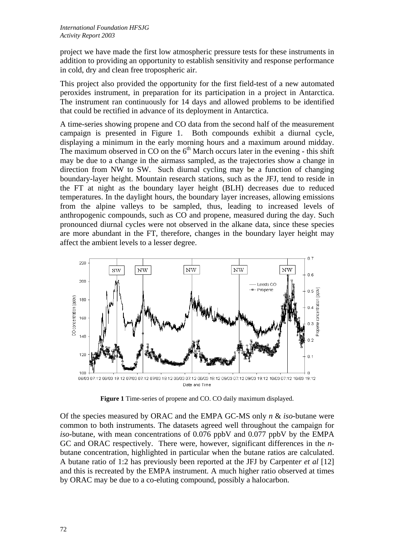project we have made the first low atmospheric pressure tests for these instruments in addition to providing an opportunity to establish sensitivity and response performance in cold, dry and clean free tropospheric air.

This project also provided the opportunity for the first field-test of a new automated peroxides instrument, in preparation for its participation in a project in Antarctica. The instrument ran continuously for 14 days and allowed problems to be identified that could be rectified in advance of its deployment in Antarctica.

A time-series showing propene and CO data from the second half of the measurement campaign is presented in Figure 1. Both compounds exhibit a diurnal cycle, displaying a minimum in the early morning hours and a maximum around midday. The maximum observed in CO on the  $6<sup>th</sup>$  March occurs later in the evening - this shift may be due to a change in the airmass sampled, as the trajectories show a change in direction from NW to SW. Such diurnal cycling may be a function of changing boundary-layer height. Mountain research stations, such as the JFJ, tend to reside in the FT at night as the boundary layer height (BLH) decreases due to reduced temperatures. In the daylight hours, the boundary layer increases, allowing emissions from the alpine valleys to be sampled, thus, leading to increased levels of anthropogenic compounds, such as CO and propene, measured during the day. Such pronounced diurnal cycles were not observed in the alkane data, since these species are more abundant in the FT, therefore, changes in the boundary layer height may affect the ambient levels to a lesser degree.



**Figure 1** Time-series of propene and CO. CO daily maximum displayed.

Of the species measured by ORAC and the EMPA GC-MS only *n* & *iso*-butane were common to both instruments. The datasets agreed well throughout the campaign for *iso-*butane, with mean concentrations of 0.076 ppbV and 0.077 ppbV by the EMPA GC and ORAC respectively. There were, however, significant differences in the *n*butane concentration, highlighted in particular when the butane ratios are calculated. A butane ratio of 1:2 has previously been reported at the JFJ by Carpente*r et al* [12] and this is recreated by the EMPA instrument. A much higher ratio observed at times by ORAC may be due to a co-eluting compound, possibly a halocarbon.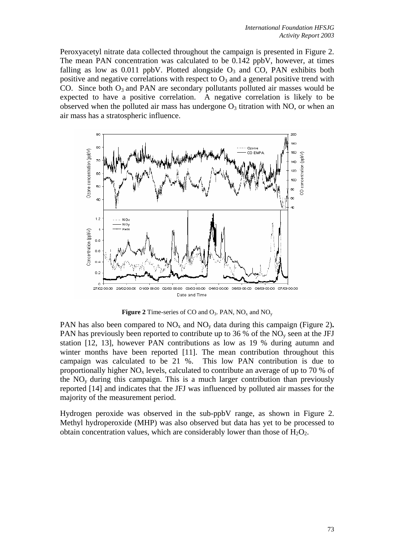Peroxyacetyl nitrate data collected throughout the campaign is presented in Figure 2. The mean PAN concentration was calculated to be 0.142 ppbV, however, at times falling as low as 0.011 ppbV. Plotted alongside  $O_3$  and CO, PAN exhibits both positive and negative correlations with respect to  $O_3$  and a general positive trend with CO. Since both  $O_3$  and PAN are secondary pollutants polluted air masses would be expected to have a positive correlation. A negative correlation is likely to be observed when the polluted air mass has undergone  $O_3$  titration with NO, or when an air mass has a stratospheric influence.





PAN has also been compared to  $NO<sub>x</sub>$  and  $NO<sub>y</sub>$  data during this campaign (Figure 2). PAN has previously been reported to contribute up to 36 % of the  $NO<sub>v</sub>$  seen at the JFJ station [12, 13], however PAN contributions as low as 19 % during autumn and winter months have been reported [11]. The mean contribution throughout this campaign was calculated to be 21 %. This low PAN contribution is due to proportionally higher  $NO<sub>x</sub>$  levels, calculated to contribute an average of up to 70 % of the  $NO<sub>v</sub>$  during this campaign. This is a much larger contribution than previously reported [14] and indicates that the JFJ was influenced by polluted air masses for the majority of the measurement period.

Hydrogen peroxide was observed in the sub-ppbV range, as shown in Figure 2. Methyl hydroperoxide (MHP) was also observed but data has yet to be processed to obtain concentration values, which are considerably lower than those of  $H_2O_2$ .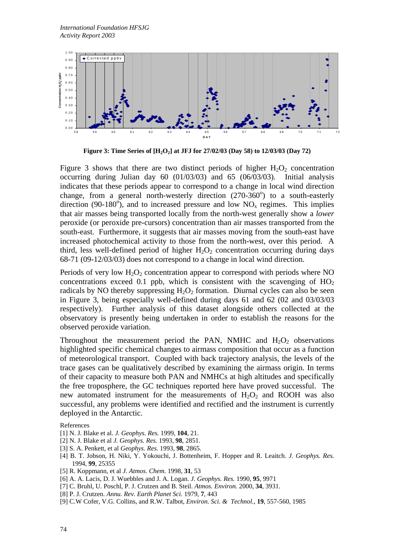

**Figure 3: Time Series of [H2O2] at JFJ for 27/02/03 (Day 58) to 12/03/03 (Day 72)**

Figure 3 shows that there are two distinct periods of higher  $H_2O_2$  concentration occurring during Julian day 60 (01/03/03) and 65 (06/03/03). Initial analysis indicates that these periods appear to correspond to a change in local wind direction change, from a general north-westerly direction  $(270-360^{\circ})$  to a south-easterly direction (90-180<sup>o</sup>), and to increased pressure and low  $NO<sub>x</sub>$  regimes. This implies that air masses being transported locally from the north-west generally show a *lower* peroxide (or peroxide pre-cursors) concentration than air masses transported from the south-east. Furthermore, it suggests that air masses moving from the south-east have increased photochemical activity to those from the north-west, over this period. A third, less well-defined period of higher  $H_2O_2$  concentration occurring during days 68-71 (09-12/03/03) does not correspond to a change in local wind direction.

Periods of very low  $H_2O_2$  concentration appear to correspond with periods where NO concentrations exceed 0.1 ppb, which is consistent with the scavenging of  $HO<sub>2</sub>$ radicals by NO thereby suppressing  $H_2O_2$  formation. Diurnal cycles can also be seen in Figure 3, being especially well-defined during days 61 and 62 (02 and 03/03/03 respectively). Further analysis of this dataset alongside others collected at the observatory is presently being undertaken in order to establish the reasons for the observed peroxide variation.

Throughout the measurement period the PAN, NMHC and  $H_2O_2$  observations highlighted specific chemical changes to airmass composition that occur as a function of meteorological transport. Coupled with back trajectory analysis, the levels of the trace gases can be qualitatively described by examining the airmass origin. In terms of their capacity to measure both PAN and NMHCs at high altitudes and specifically the free troposphere, the GC techniques reported here have proved successful. The new automated instrument for the measurements of  $H_2O_2$  and ROOH was also successful, any problems were identified and rectified and the instrument is currently deployed in the Antarctic.

References

- [1] N. J. Blake et al. *J. Geophys. Res.* 1999, **104**, 21.
- [2] N. J. Blake et al *J. Geophys. Res.* 1993, **98**, 2851.
- [3] S. A. Penkett, et al *Geophys. Res.* 1993, **98**, 2865.
- [4] B. T. Jobson, H. Niki, Y. Yokouchi, J. Bottenheim, F. Hopper and R. Leaitch. *J. Geophys. Res.* 1994, **99**, 25355
- [5] R. Koppmann, et al *J. Atmos. Chem.* 1998, **31**, 53
- [6] A. A. Lacis, D. J. Wuebbles and J. A. Logan. *J. Geophys. Res.* 1990, **95**, 9971
- [7] C. Bruhl, U. Poschl, P. J. Crutzen and B. Steil. *Atmos. Environ.* 2000, **34**, 3931.
- [8] P. J. Crutzen. *Annu. Rev. Earth Planet Sci.* 1979, **7**, 443
- [9] C.W Cofer, V.G. Collins, and R.W. Talbot, *Environ. Sci. & Technol.*, **19**, 557-560, 1985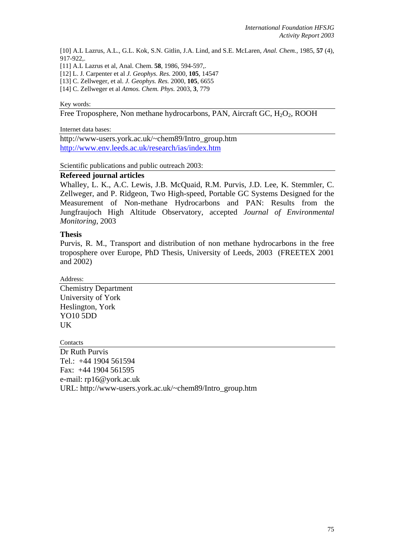[10] A.L Lazrus, A.L., G.L. Kok, S.N. Gitlin, J.A. Lind, and S.E. McLaren, *Anal. Chem.*, 1985, **57** (4), 917-922,.

[11] A.L Lazrus et al, Anal. Chem. **58**, 1986, 594-597,.

[12] L. J. Carpenter et al *J. Geophys. Res.* 2000, **105**, 14547

[13] C. Zellweger, et al. *J. Geophys. Res.* 2000, **105**, 6655

[14] C. Zellweger et al *Atmos. Chem. Phys.* 2003, **3**, 779

#### Key words:

Free Troposphere, Non methane hydrocarbons, PAN, Aircraft GC,  $H_2O_2$ , ROOH

Internet data bases:

http://www-users.york.ac.uk/~chem89/Intro\_group.htm <http://www.env.leeds.ac.uk/research/ias/index.htm>

Scientific publications and public outreach 2003:

## **Refereed journal articles**

Whalley, L. K., A.C. Lewis, J.B. McQuaid, R.M. Purvis, J.D. Lee, K. Stemmler, C. Zellweger, and P. Ridgeon, Two High-speed, Portable GC Systems Designed for the Measurement of Non-methane Hydrocarbons and PAN: Results from the Jungfraujoch High Altitude Observatory, accepted *Journal of Environmental Monitoring*, 2003

## **Thesis**

Purvis, R. M., Transport and distribution of non methane hydrocarbons in the free troposphere over Europe, PhD Thesis, University of Leeds, 2003 (FREETEX 2001 and 2002)

Address:

Chemistry Department University of York Heslington, York YO10 5DD UK

Contacts

Dr Ruth Purvis Tel.: +44 1904 561594 Fax: +44 1904 561595 e-mail: rp16@york.ac.uk URL: http://www-users.york.ac.uk/~chem89/Intro\_group.htm